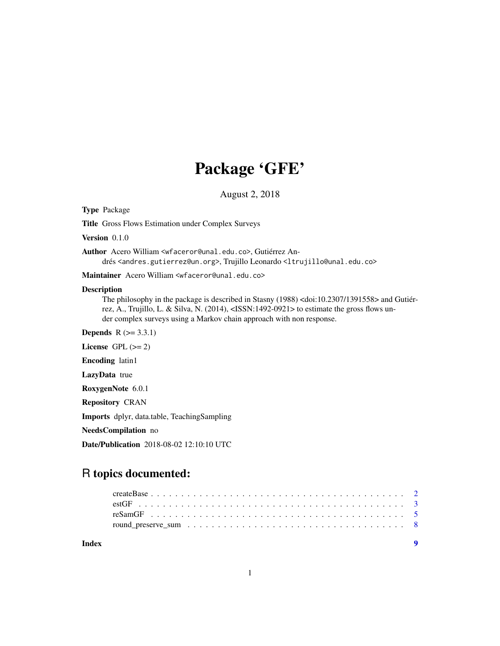## Package 'GFE'

August 2, 2018

Type Package

Title Gross Flows Estimation under Complex Surveys

Version 0.1.0

Author Acero William <wfaceror@unal.edu.co>, Gutiérrez Andrés <andres.gutierrez@un.org>, Trujillo Leonardo <ltrujillo@unal.edu.co>

Maintainer Acero William <wfaceror@unal.edu.co>

#### Description

The philosophy in the package is described in Stasny (1988) <doi:10.2307/1391558> and Gutiérrez, A., Trujillo, L. & Silva, N. (2014), <ISSN:1492-0921> to estimate the gross flows under complex surveys using a Markov chain approach with non response.

**Depends**  $R$  ( $>= 3.3.1$ )

License GPL  $(>= 2)$ 

Encoding latin1

LazyData true

RoxygenNote 6.0.1

Repository CRAN

Imports dplyr, data.table, TeachingSampling

NeedsCompilation no

Date/Publication 2018-08-02 12:10:10 UTC

### R topics documented:

| Index | $\overline{\mathbf{Q}}$ |
|-------|-------------------------|
|       |                         |
|       |                         |
|       |                         |
|       |                         |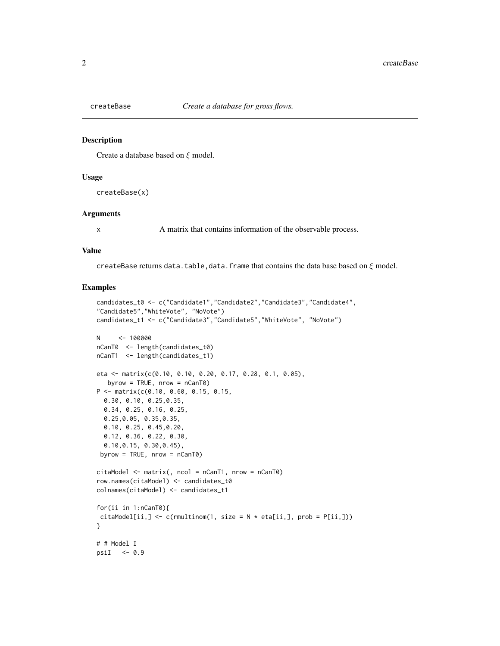<span id="page-1-0"></span>

#### Description

Create a database based on ξ model.

#### Usage

createBase(x)

#### Arguments

x A matrix that contains information of the observable process.

#### Value

createBase returns data.table, data.frame that contains the data base based on  $\xi$  model.

```
candidates_t0 <- c("Candidate1","Candidate2","Candidate3","Candidate4",
"Candidate5","WhiteVote", "NoVote")
candidates_t1 <- c("Candidate3","Candidate5","WhiteVote", "NoVote")
N <- 100000
nCanT0 <- length(candidates_t0)
nCanT1 <- length(candidates_t1)
eta <- matrix(c(0.10, 0.10, 0.20, 0.17, 0.28, 0.1, 0.05),
  byrow = TRUE, nrow = nCanT0)P <- matrix(c(0.10, 0.60, 0.15, 0.15,
  0.30, 0.10, 0.25,0.35,
  0.34, 0.25, 0.16, 0.25,
  0.25,0.05, 0.35,0.35,
  0.10, 0.25, 0.45,0.20,
  0.12, 0.36, 0.22, 0.30,
  0.10,0.15, 0.30,0.45),
 byrow = TRUE, nrow = nCanT0)citaModel <- matrix(, ncol = nCanT1, nrow = nCanT0)
row.names(citaModel) <- candidates_t0
colnames(citaModel) <- candidates_t1
for(ii in 1:nCanT0){
citaModel[ii,] <- c(rmultinom(1, size = N * eta[i,j], prob = P[ii,j]))
}
# # Model I
psiI <- 0.9
```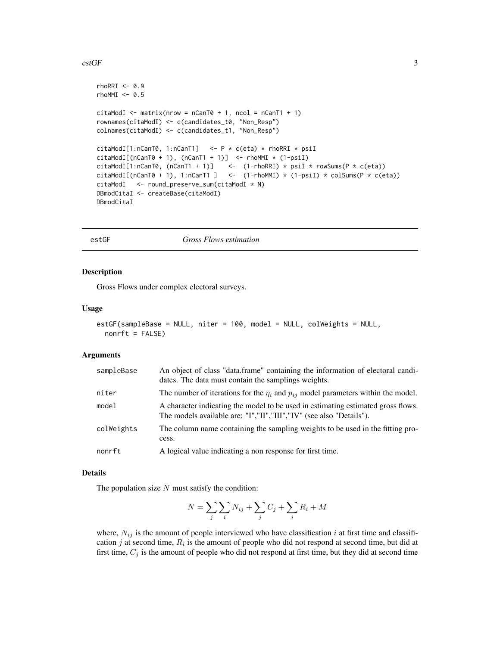#### <span id="page-2-0"></span>estGF 3

```
rhORRI < -0.9rhomMI < -0.5citaModI \leq matrix(nrow = nCanT0 + 1, ncol = nCanT1 + 1)
rownames(citaModI) <- c(candidates_t0, "Non_Resp")
colnames(citaModI) <- c(candidates_t1, "Non_Resp")
citaModI[1:nCanT0, 1:nCanT1] <- P * c(eta) * rhoRRI * psiI
citamodI[(nCanT0 + 1), (nCanT1 + 1)] <- rhomMI * (1-psiI)citaModI[1:nCanT0, (nCanT1 + 1)] <- (1-rhoRRI) * psiI * rowSums(P * c(ta))citaModI[(nCanT0 + 1), 1:nCanT1 ] <- (1-rhomMI) * (1-psiI) * colSums(P * c(ta))citaModI <- round_preserve_sum(citaModI * N)
DBmodCitaI <- createBase(citaModI)
DBmodCitaI
```
estGF *Gross Flows estimation*

#### Description

Gross Flows under complex electoral surveys.

#### Usage

```
estGF(sampleBase = NULL, niter = 100, model = NULL, colWeights = NULL,
 nonft = FALSE)
```
#### Arguments

| sampleBase | An object of class "data.frame" containing the information of electoral candi-<br>dates. The data must contain the samplings weights.                   |
|------------|---------------------------------------------------------------------------------------------------------------------------------------------------------|
| niter      | The number of iterations for the $\eta_i$ and $p_{ij}$ model parameters within the model.                                                               |
| model      | A character indicating the model to be used in estimating estimated gross flows.<br>The models available are: "I","II","III","IV" (see also "Details"). |
| colWeights | The column name containing the sampling weights to be used in the fitting pro-<br>cess.                                                                 |
| nonrft     | A logical value indicating a non response for first time.                                                                                               |

#### Details

The population size  $N$  must satisfy the condition:

$$
N = \sum_{j} \sum_{i} N_{ij} + \sum_{j} C_j + \sum_{i} R_i + M
$$

where,  $N_{ij}$  is the amount of people interviewed who have classification i at first time and classification  $j$  at second time,  $R_i$  is the amount of people who did not respond at second time, but did at first time,  $C_j$  is the amount of people who did not respond at first time, but they did at second time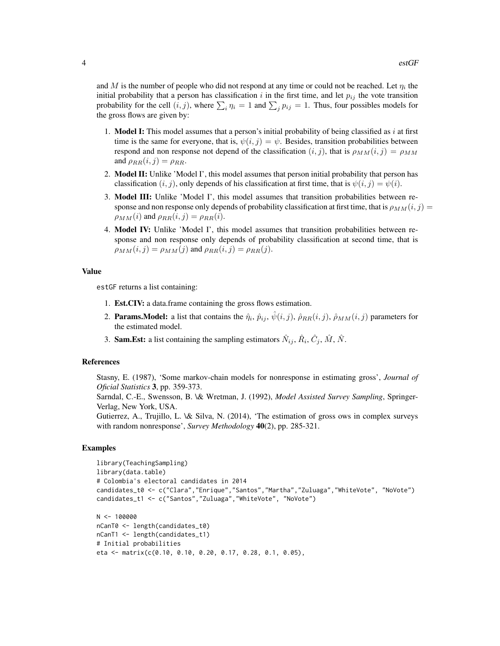and M is the number of people who did not respond at any time or could not be reached. Let  $\eta_i$  the initial probability that a person has classification i in the first time, and let  $p_{ij}$  the vote transition probability for the cell  $(i, j)$ , where  $\sum_i \eta_i = 1$  and  $\sum_j p_{ij} = 1$ . Thus, four possibles models for the gross flows are given by:

- 1. **Model I:** This model assumes that a person's initial probability of being classified as i at first time is the same for everyone, that is,  $\psi(i, j) = \psi$ . Besides, transition probabilities between respond and non response not depend of the classification  $(i, j)$ , that is  $\rho_{MM}(i, j) = \rho_{MM}$ and  $\rho_{RR}(i, j) = \rho_{RR}$ .
- 2. Model II: Unlike 'Model I', this model assumes that person initial probability that person has classification  $(i, j)$ , only depends of his classification at first time, that is  $\psi(i, j) = \psi(i)$ .
- 3. Model III: Unlike 'Model I', this model assumes that transition probabilities between response and non response only depends of probability classification at first time, that is  $\rho_{MM}(i, j)$  =  $\rho_{MM}(i)$  and  $\rho_{RR}(i, j) = \rho_{RR}(i)$ .
- 4. Model IV: Unlike 'Model I', this model assumes that transition probabilities between response and non response only depends of probability classification at second time, that is  $\rho_{MM}(i, j) = \rho_{MM}(j)$  and  $\rho_{RR}(i, j) = \rho_{RR}(j)$ .

#### Value

estGF returns a list containing:

- 1. Est.CIV: a data.frame containing the gross flows estimation.
- 2. **Params. Model:** a list that contains the  $\hat{\eta}_i$ ,  $\hat{p}_{ij}$ ,  $\hat{\psi}(i,j)$ ,  $\hat{\rho}_{RR}(i,j)$ ,  $\hat{\rho}_{MM}(i,j)$  parameters for the estimated model.
- 3. **Sam.Est:** a list containing the sampling estimators  $\hat{N}_{ij}$ ,  $\hat{R}_i$ ,  $\hat{C}_j$ ,  $\hat{M}$ ,  $\hat{N}$ .

#### References

Stasny, E. (1987), 'Some markov-chain models for nonresponse in estimating gross', *Journal of Oficial Statistics* 3, pp. 359-373.

Sarndal, C.-E., Swensson, B. \& Wretman, J. (1992), *Model Assisted Survey Sampling*, Springer-Verlag, New York, USA.

Gutierrez, A., Trujillo, L. \& Silva, N. (2014), 'The estimation of gross ows in complex surveys with random nonresponse', *Survey Methodology* 40(2), pp. 285-321.

```
library(TeachingSampling)
library(data.table)
# Colombia's electoral candidates in 2014
candidates_t0 <- c("Clara","Enrique","Santos","Martha","Zuluaga","WhiteVote", "NoVote")
candidates_t1 <- c("Santos","Zuluaga","WhiteVote", "NoVote")
N <- 100000
nCanT0 <- length(candidates_t0)
nCanT1 <- length(candidates_t1)
# Initial probabilities
eta <- matrix(c(0.10, 0.10, 0.20, 0.17, 0.28, 0.1, 0.05),
```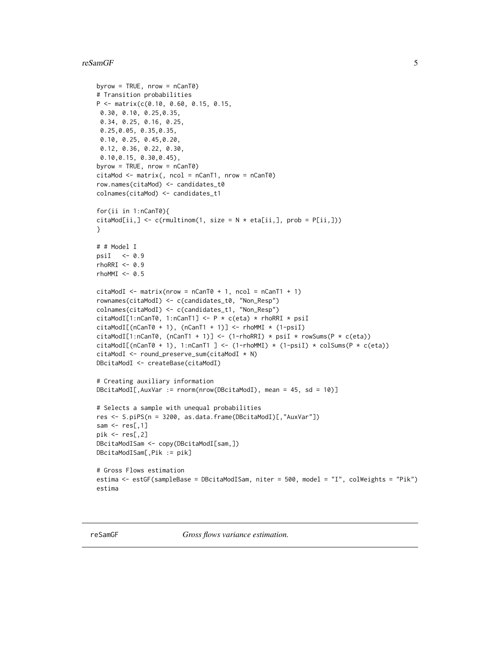#### <span id="page-4-0"></span>reSamGF 5

```
byrow = TRUE, nrow = nCanT0)
# Transition probabilities
P <- matrix(c(0.10, 0.60, 0.15, 0.15,
0.30, 0.10, 0.25,0.35,
 0.34, 0.25, 0.16, 0.25,
 0.25,0.05, 0.35,0.35,
 0.10, 0.25, 0.45,0.20,
 0.12, 0.36, 0.22, 0.30,
 0.10,0.15, 0.30,0.45),
byrow = TRUE, nrow = nCanT0)
citamod < - matrix(, ncol = nCanT1, nrow = nCanT0)
row.names(citaMod) <- candidates_t0
colnames(citaMod) <- candidates_t1
for(ii in 1:nCanT0){
citamod[ii, ] \leftarrow c(rmultinom(1, size = N * eta[ii,], prob = P[ii,]))}
# # Model I
psiI <- 0.9
rhORRI < -0.9rhoMMI <- 0.5
citamodI \leq matrix(nrow = nCanT0 + 1, ncol = nCanT1 + 1)rownames(citaModI) <- c(candidates_t0, "Non_Resp")
colnames(citaModI) <- c(candidates_t1, "Non_Resp")
citaModI[1:nCanT0, 1:nCanT1] <- P * c(eta) * rhoRRI * psiI
citamodI[(nCanT0 + 1), (nCanT1 + 1)] \leftarrow rhomMI * (1-psiI)citaModI[1:nCanT0, (nCanT1 + 1)] <- (1-rhoRRI) * psiI * rowSums(P * c(eta))citaModI[(nCanT0 + 1), 1:nCanT1 ] <- (1-rhoMMI) * (1-psiI) * colSums(P * c(eta))
citaModI <- round_preserve_sum(citaModI * N)
DBcitaModI <- createBase(citaModI)
# Creating auxiliary information
DBcitaModI[,AuxVar := rnorm(nrow(DBcitaModI), mean = 45, sd = 10)]
# Selects a sample with unequal probabilities
res <- S.piPS(n = 3200, as.data.frame(DBcitaModI)[,"AuxVar"])
sam \leq res[,1]
pik <- res[,2]
DBcitaModISam <- copy(DBcitaModI[sam,])
DBcitaModISam[,Pik := pik]
# Gross Flows estimation
estima <- estGF(sampleBase = DBcitaModISam, niter = 500, model = "I", colWeights = "Pik")
estima
```
reSamGF *Gross flows variance estimation.*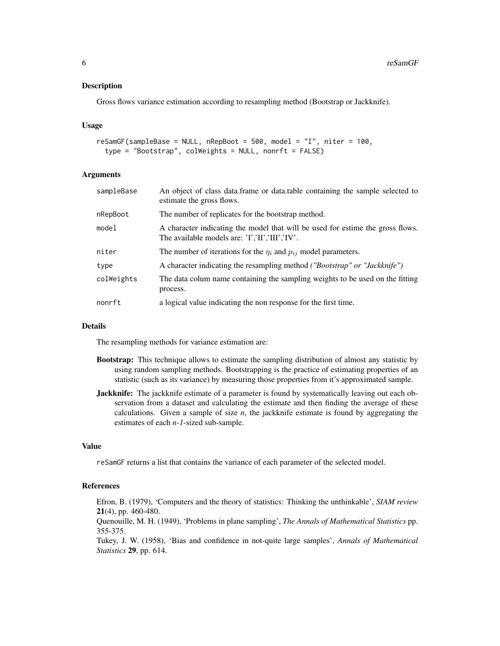#### Description

Gross flows variance estimation according to resampling method (Bootstrap or Jackknife).

#### Usage

```
resamGF(sampleBase = NULL, nRepBoot = 500, model = "I", niter = 100,type = "Bootstrap", colWeights = NULL, nonrft = FALSE)
```
#### Arguments

| sampleBase | An object of class data.frame or data.table containing the sample selected to<br>estimate the gross flows.                         |
|------------|------------------------------------------------------------------------------------------------------------------------------------|
| nRepBoot   | The number of replicates for the bootstrap method.                                                                                 |
| model      | A character indicating the model that will be used for estime the gross flows.<br>The available models are: $'I', II', III', IV'.$ |
| niter      | The number of iterations for the $\eta_i$ and $p_{ij}$ model parameters.                                                           |
| type       | A character indicating the resampling method <i>("Bootstrap" or "Jackknife")</i>                                                   |
| colWeights | The data colum name containing the sampling weights to be used on the fitting<br>process.                                          |
| nonrft     | a logical value indicating the non response for the first time.                                                                    |

#### Details

The resampling methods for variance estimation are:

- Bootstrap: This technique allows to estimate the sampling distribution of almost any statistic by using random sampling methods. Bootstrapping is the practice of estimating properties of an statistic (such as its variance) by measuring those properties from it's approximated sample.
- **Jackknife:** The jackknife estimate of a parameter is found by systematically leaving out each observation from a dataset and calculating the estimate and then finding the average of these calculations. Given a sample of size *n*, the jackknife estimate is found by aggregating the estimates of each *n-1*-sized sub-sample.

#### Value

reSamGF returns a list that contains the variance of each parameter of the selected model.

#### References

Efron, B. (1979), 'Computers and the theory of statistics: Thinking the unthinkable', *SIAM review* 21(4), pp. 460-480.

Quenouille, M. H. (1949), 'Problems in plane sampling', *The Annals of Mathematical Statistics* pp. 355-375.

Tukey, J. W. (1958), 'Bias and confidence in not-quite large samples', *Annals of Mathematical Statistics* 29, pp. 614.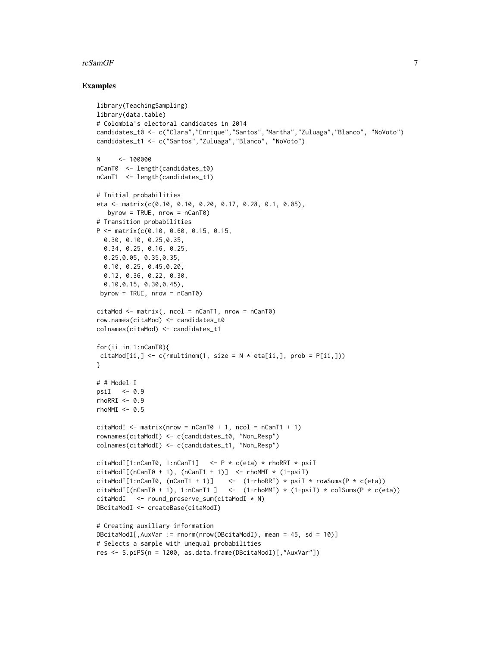#### reSamGF 7 and 2008 and 2008 and 2008 and 2008 and 2008 and 2008 and 2008 and 2008 and 2008 and 2008 and 2008 and 2008 and 2008 and 2008 and 2008 and 2008 and 2008 and 2008 and 2008 and 2008 and 2008 and 2008 and 2008 and 2

```
library(TeachingSampling)
library(data.table)
# Colombia's electoral candidates in 2014
candidates_t0 <- c("Clara","Enrique","Santos","Martha","Zuluaga","Blanco", "NoVoto")
candidates_t1 <- c("Santos","Zuluaga","Blanco", "NoVoto")
N <- 100000
nCanT0 <- length(candidates_t0)
nCanT1 <- length(candidates_t1)
# Initial probabilities
eta <- matrix(c(0.10, 0.10, 0.20, 0.17, 0.28, 0.1, 0.05),
  byrow = TRUE, nrow = nCanT0)# Transition probabilities
P <- matrix(c(0.10, 0.60, 0.15, 0.15,
  0.30, 0.10, 0.25,0.35,
  0.34, 0.25, 0.16, 0.25,
  0.25,0.05, 0.35,0.35,
  0.10, 0.25, 0.45,0.20,
  0.12, 0.36, 0.22, 0.30,
  0.10,0.15, 0.30,0.45),
 byrow = TRUE, nrow = nCanT0)citamod < - matrix(, ncol = nCanT1, nrow = nCanT0)
row.names(citaMod) <- candidates_t0
colnames(citaMod) <- candidates_t1
for(ii in 1:nCanT0){
citaMod[ii,] <- c(rmultinom(1, size = N * eta[i,], prob = P[i,]))
}
# # Model I
psiI <-0.9rhORRI < -0.9rhoMMI <- 0.5
citamodI \leq matrix(nrow = nCanT0 + 1, ncol = nCanT1 + 1)rownames(citaModI) <- c(candidates_t0, "Non_Resp")
colnames(citaModI) <- c(candidates_t1, "Non_Resp")
citaModI[1:nCanT0, 1:nCanT1] \leq -P * c(\text{eta}) * r \text{ho} \text{R} \text{R} * \text{psi}citamodI[(nCanT0 + 1), (nCanT1 + 1)] <- rhomMI * (1-psiI)citaModI[1:nCanT0, (nCanT1 + 1)] <- (1-rhoRRI) * psiI * rowSums(P * c(ta))citamodI[(nCanT0 + 1), 1:nCanT1 ] <- (1-rhomMI) * (1-psiI) * colSums(P * c(ta))citaModI <- round_preserve_sum(citaModI * N)
DBcitaModI <- createBase(citaModI)
# Creating auxiliary information
DBcitaModI[,AuxVar := rnorm(nrow(DBcitaModI), mean = 45, sd = 10)]
# Selects a sample with unequal probabilities
res <- S.piPS(n = 1200, as.data.frame(DBcitaModI)[,"AuxVar"])
```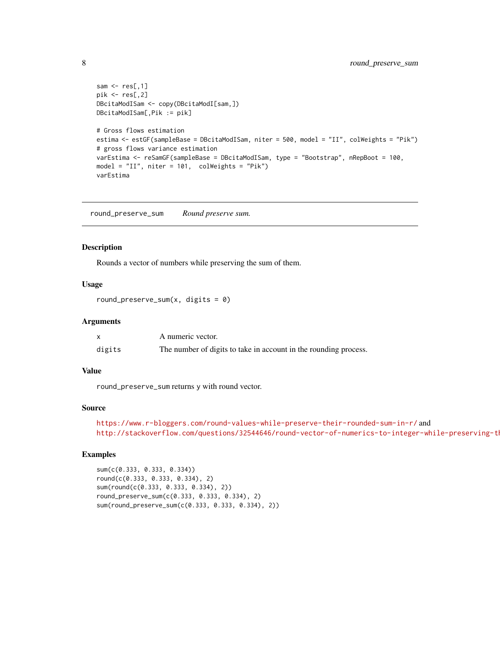```
sam \leq res[,1]
pik <- res[,2]
DBcitaModISam <- copy(DBcitaModI[sam,])
DBcitaModISam[,Pik := pik]
# Gross flows estimation
estima <- estGF(sampleBase = DBcitaModISam, niter = 500, model = "II", colWeights = "Pik")
# gross flows variance estimation
varEstima <- reSamGF(sampleBase = DBcitaModISam, type = "Bootstrap", nRepBoot = 100,
model = "II", niter = 101, colWeights = "Pik")
varEstima
```
round\_preserve\_sum *Round preserve sum.*

#### Description

Rounds a vector of numbers while preserving the sum of them.

#### Usage

```
round_preserve_sum(x, \text{ digits} = 0)
```
#### Arguments

|        | A numeric vector.                                                |
|--------|------------------------------------------------------------------|
| digits | The number of digits to take in account in the rounding process. |

#### Value

round\_preserve\_sum returns y with round vector.

#### Source

```
https://www.r-bloggers.com/round-values-while-preserve-their-rounded-sum-in-r/ and
http://stackoverflow.com/questions/32544646/round-vector-of-numerics-to-integer-while-preserving-th
```

```
sum(c(0.333, 0.333, 0.334))
round(c(0.333, 0.333, 0.334), 2)
sum(round(c(0.333, 0.333, 0.334), 2))
round_preserve_sum(c(0.333, 0.333, 0.334), 2)
sum(round_preserve_sum(c(0.333, 0.333, 0.334), 2))
```
<span id="page-7-0"></span>